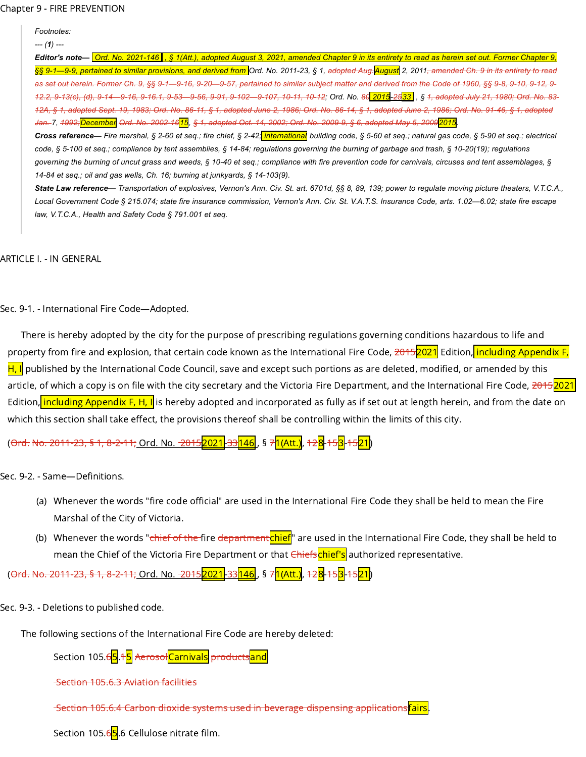| Footnotes: |
|------------|
|------------|

Editor's note- Ord. No. [2021-146](https://library.municode.com/), § 1(Att.), adopted August 3, 2021, amended Chapter 9 in its entirety to read as herein set out. Former Chapter 9, §§ 9-1—9-9, pertained to similar provisions, and derived from Ord. No. 2011-23, § 1, <del>adopted Aug.<mark>August</mark> 2, 2011, amended Ch. 9 in its entirety to read</del> as set out herein. Former Ch. 9, §§ 9-1 - 9-16, 9-20 - 9-57, pertained to similar subject matter and derived from the Code of 1960, §§ 9-8, 9-10, 9-12, 9-12.2, 9-13(c), (d), 9-14 - 9-16, 9-16.1, 9-53 - 9-56, 9-91, 9-102 - 9-107, 10-11, 10-12; Ord. No. 86 2015 -2533 , § 1, adopted July 21, 1980; Ord. No. 83-12A, § 1, adopted Sept. 19, 1983; Ord. No. 86-11, § 1, adopted June 2, 1986; Ord. No. 86-14, § 1, adopted June 2, 1986; Ord. No. 91-46, § 1, adopted <del>Jan. 7, 1992;</del> December Ord. No. 2002-16<mark>15</mark>, § 1, adopted Oct. 14, 2002; Ord. No. 2009-9, § 6, adopted May 5, 2009<mark>2015</mark>

Cross reference— Fire marshal, § 2-60 et seq.; fire chief, § 2-42, *internationa*, building code, § 5-60 et seq.; natural gas code, § 5-90 et seq.; electrical code, § 5-100 et seq.; compliance by tent assemblies, § 14-84; regulations governing the burning of garbage and trash, § 10-20(19); regulations governing the burning of uncut grass and weeds, § 10-40 et seq.; compliance with fire prevention code for carnivals, circuses and tent assemblages, § *14-84 et seq.; oil and gas wells, Ch. 16; burning at junkyards, § 14-103(9).*

State Law reference— Transportation of explosives, Vernon's Ann. Civ. St. art. 6701d, §§ 8, 89, 139; power to regulate moving picture theaters, V.T.C.A., Local Government Code § 215.074; state fire insurance commission, Vernon's Ann. Civ. St. V.A.T.S. Insurance Code, arts. 1.02-6.02; state fire escape *law, V.T.C.A., Health and Safety Code § 791.001 et seq.*

ARTICLE I. - IN GENERAL

Sec. 9-1. - International Fire Code—Adopted.

There is hereby adopted by the city for the purpose of prescribing regulations governing conditions hazardous to life and property from fire and explosion, that certain code known as the International Fire Code, <del>2015<mark>2021</mark> Edition, <mark>including Appendix F,</mark></del> H, I published by the International Code Council, save and except such portions as are deleted, modified, or amended by this article, of which a copy is on file with the city secretary and the Victoria Fire Department, and the International Fire Code, <del>2015<mark>2021</mark></del> Edition, including Appendix F, H, I is hereby adopted and incorporated as fully as if set out at length herein, and from the date on which this section shall take effect, the provisions thereof shall be controlling within the limits of this city.

(<del>[Ord.](https://library.municode.com/) No. 2011-23, § 1, 8-2-11;</del> Ord. No. <del>2015<mark>2021</mark>-33<mark>146</mark> , § 7<mark>1(Att.)</mark>, <del>12</del>8-153-1521</mark>)</del>

Sec. 9-2. - Same—Definitions.

- (a) Whenever the words "fire code official" are used in the International Fire Code they shall be held to mean the Fire Marshal of the City of Victoria.
- (b) Whenever the words "<del>chief of the </del>fire <del>department<mark>chief</mark>" are used in the International Fire Code, they shall be held to</del> mean the Chief of the Victoria Fire Department or that Chiefschief's authorized representative.

(<del>[Ord.](https://library.municode.com/) No. 2011-23, § 1, 8-2-11;</del> Ord. No. <del>-2015<mark>2021</mark>-33<mark>146</mark> , § 7<mark>1(Att.)</mark>, <del>12</del>8-15<mark>3</mark>-15<mark>21</mark>)</del>

Sec. 9-3. - Deletions to published code.

The following sections of the International Fire Code are hereby deleted:

Section 105.6<mark>5</mark>.15 AerosolCarnivals productsand

Section 105.6.3 Aviation facilities

Section 105.6.4 Carbon dioxide systems used in beverage dispensing applicationsfairs

Section 105.65.6.6 Cellulose nitrate film.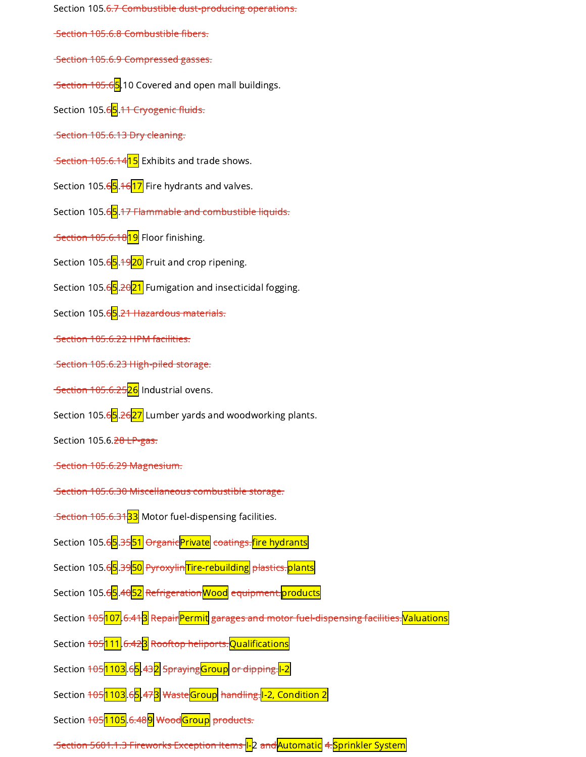Section 105.6.7 Combustible dust-producing operations. Section 105.6.8 Combustible fibers. Section 105.6.9 Compressed gasses. Section 105.65.10 Covered and open mall buildings. Section 105.6<mark>5</mark>.<del>11 Cryogenic fluids.</del> Section 105.6.13 Dry cleaning. Section 105.6.14<mark>15</mark> Exhibits and trade shows. Section 105.6<mark>5.1617</mark> Fire hydrants and valves. Section 105.65.17 Flammable and combustible liquids. Section 105.6.18<mark>19</mark> Floor finishing. Section 105.65.<sup>49</sup>20 Fruit and crop ripening. Section 105.6<mark>5</mark>.2021 Fumigation and insecticidal fogging. Section 105.6<mark>5</mark>.<del>21 Hazardous materials.</del> Section 105.6.22 HPM facilities. Section 105.6.23 High-piled storage. Section 105.6.25<mark>26</mark> Industrial ovens. Section 105.6<mark>5</mark>.<del>26<mark>27</mark> Lumber yards and woodworking plants.</del> Section 105.6.28 LP-gas. Section 105.6.29 Magnesium. Section 105.6.30 Miscellaneous combustible storage. Section 105.6.3133 Motor fuel-dispensing facilities. Section 105.6<mark>5</mark>.35<mark>51</mark> OrganicPrivate coatings.fire hydrants Section 105.6<mark>5</mark>.3950 PyroxylinTire-rebuilding plastics.plants Section 105.6<mark>5</mark>.40<mark>52</mark> Refrigeration Wood equipment.products Section <del>105<mark>107</mark>.6.41<mark>3</mark> Repair<mark>Permit</mark> garages and motor fuel-dispensing facilities.<mark>Valuations</mark></del> Section <del>105<mark>111.</mark>6.42<mark>3</mark> Rooftop heliports.Qualifications</del> Section <del>105</del>1103.65.432 SprayingGroup or dipping.12 Section <del>105<mark>1103</mark>.6<mark>5.</mark>473 WasteGroup handling.</del>I-2, Condition 2 Section 105<mark>1105</mark>.6.48<mark>9</mark> WoodGroup products. Section 5601.1.3 Fireworks Exception Items <mark>I-</mark>2 and <mark>Automatic</mark> 4.<mark>Sprinkler System</mark>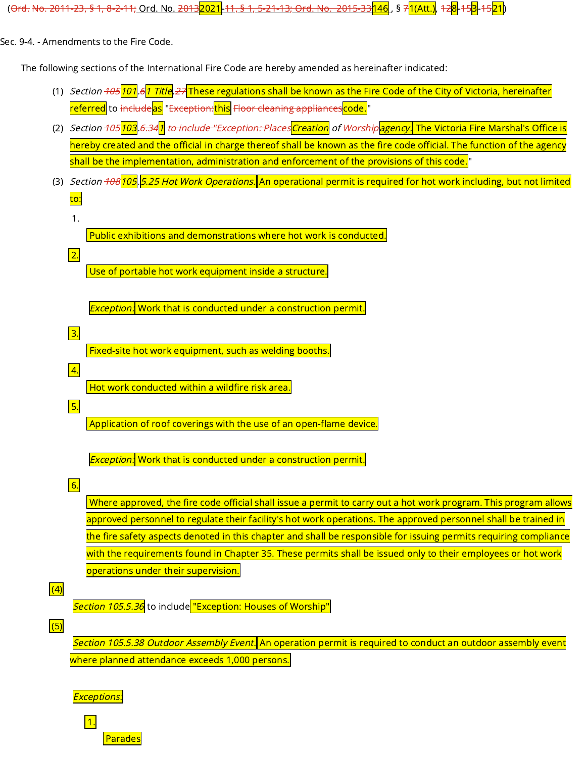(<del>Ord. No. 2011-23, § 1, 8-2-11;</del> Ord. No. <del>2013<mark>2021</mark> 11, § 1, 5-21-13; Ord. No. 2015-33</del>146 , § 71(Att.), 12<mark>8</mark>-15<mark>3</mark>-15<mark>21</mark>)

Sec. 9-4. - Amendments to the Fire Code.

The following sections of the International Fire Code are hereby amended as hereinafter indicated:

- (1) *Section <del>105</del>101*.61 Title.<del>27</del> These regulations shall be known as the Fire Code of the City of Victoria, hereinafter referred to i<del>ncludeas</del> "Exception: this Floor cleaning appliances code. "
- (2) *Section <del>105</del>103.6.341 <del>to include "Exception: Places</del>Creation</mark> of <del>Worship<mark>lagency.</mark> The Victoria Fire Marshal's Office is</del>* hereby created and the official in charge thereof shall be known as the fire code official. The function of the agency shall be the implementation, administration and enforcement of the provisions of this code."
- (3) *Section <del>108</del>105.5.25 Hot Work Operations.* An operational permit is required for hot work including, but not limited to:
	- 1.

 $\overline{2}$ .

3.

4.

5.

Public exhibitions and demonstrations where hot work is conducted.

Use of portable hot work equipment inside a structure.

**Exception:** Work that is conducted under a construction permit.

**Fixed-site hot work equipment, such as welding booths.** 

 $\vert$  Hot work conducted within a wildfire risk area.

Application of roof coverings with the use of an open-flame device.

**Exception:** Work that is conducted under a construction permit.

6.

Where approved, the fire code official shall issue a permit to carry out a hot work program. This program allows approved personnel to regulate their facility's hot work operations. The approved personnel shall be trained in the fire safety aspects denoted in this chapter and shall be responsible for issuing permits requiring compliance with the requirements found in Chapter 35. These permits shall be issued only to their employees or hot work operations under their supervision.

 $\boxed{(4)}$ 

Section 105.5.36 to include "Exception: Houses of Worship"

 $\sqrt{(5)}$ 

Section 105.5.38 Outdoor Assembly Event. An operation permit is required to conduct an outdoor assembly event where planned attendance exceeds 1,000 persons.

Exceptions:

1.

Parades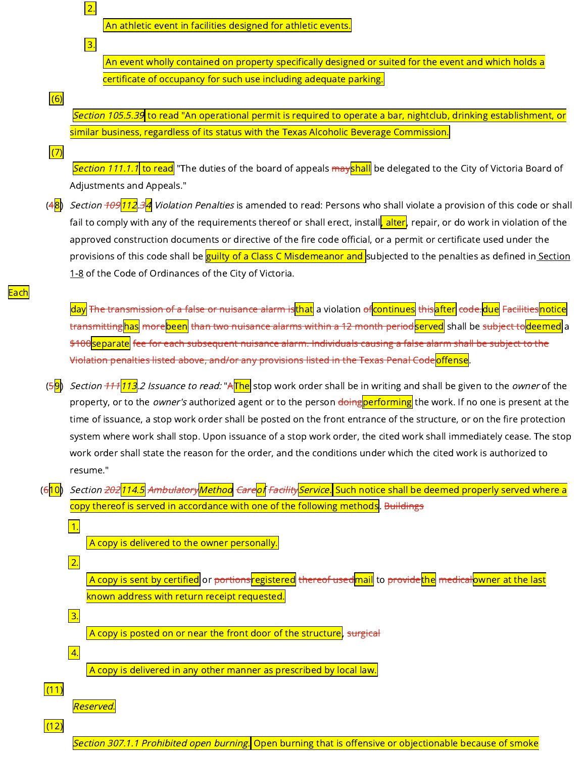An athletic event in facilities designed for athletic events

 $\vert$  An event wholly contained on property specifically designed or suited for the event and which holds a certificate of occupancy for such use including adequate parking.

 $(6)$ 

 $\boxed{2}$ .

 $|3.$ 

Section 105.5.39 to read "An operational permit is required to operate a bar, nightclub, drinking establishment, or similar business, regardless of its status with the Texas Alcoholic Beverage Commission.

(7)

Each

Section 111.1.1 to read "The duties of the board of appeals mayshall be delegated to the City of Victoria Board of Adjustments and Appeals."

(4<mark>8</mark>) *Section <del>109</del>112.3<mark>4</mark> Violation Penalties* is amended to read: Persons who shall violate a provision of this code or shall fail to comply with any of the requirements thereof or shall erect, install<mark>, alter</mark>, repair, or do work in violation of the approved construction documents or directive of the fire code official, or a permit or certificate used under the provisions of this code shall be <mark>guilty of a Class C [Misdemeanor](https://library.municode.com/) and </mark>subjected to the penalties as defined in <u>Section</u> 1-8 of the Code of Ordinances of the City of Victoria.

day <del>The transmission of a false or nuisance alarm is<mark>that</mark> a violation <del>of<mark>continues</mark> this<mark>after</mark> code.<mark>due</mark> Facilities</mark>notice</del></del> transmitting<mark>has</mark> more<mark>been</mark> than two nuisance alarms within a 12 month period<mark>served</mark> shall be <del>subject to</del>deemed a \$100Separate fee for each subsequent nuisance alarm. Individuals causing a false alarm shall be subject to the Violation penalties listed above, and/or any provisions listed in the Texas Penal Codeoffense.

- (5<mark>9</mark>) *Section <del>111</del>|113</mark>.2 Issuance to read:* "<del>A<mark>The</mark> stop work order shall be in writing and shall be given to the *owner* of the</del> property, or to the *owner's* authorized agent or to the person <del>doing<mark>performing</mark> the work. If no one is present at the</del> time of issuance, a stop work order shall be posted on the front entrance of the structure, or on the fire protection system where work shall stop. Upon issuance of a stop work order, the cited work shall immediately cease. The stop work order shall state the reason for the order, and the conditions under which the cited work is authorized to resume."
- (6<mark>10</mark>) *Section <del>202</del>114.5 <del>Ambulatory</del>Method <del>Care<mark>of</mark> Facility<mark>Service.</mark> Such notice shall be deemed properly served where a</mark>*</del> copy thereof is served in accordance with one of the following methods. Buildings

A copy is delivered to the owner personally.

A copy is sent by certified or <del>portions<mark>registered</mark> thereof used<mark>mail</mark> to provide<mark>the</mark> medical<mark>owner at the last</mark></del> known address with return receipt requested.

 $\overline{A}$  copy is posted on or near the front door of the structure, surgical

A copy is delivered in any other manner as prescribed by local law.

Reserved.

1.

2.

3.

4.

 $(12)$ 

 $(11)$ 

Section 307.1.1 Prohibited open burning. Open burning that is offensive or objectionable because of smoke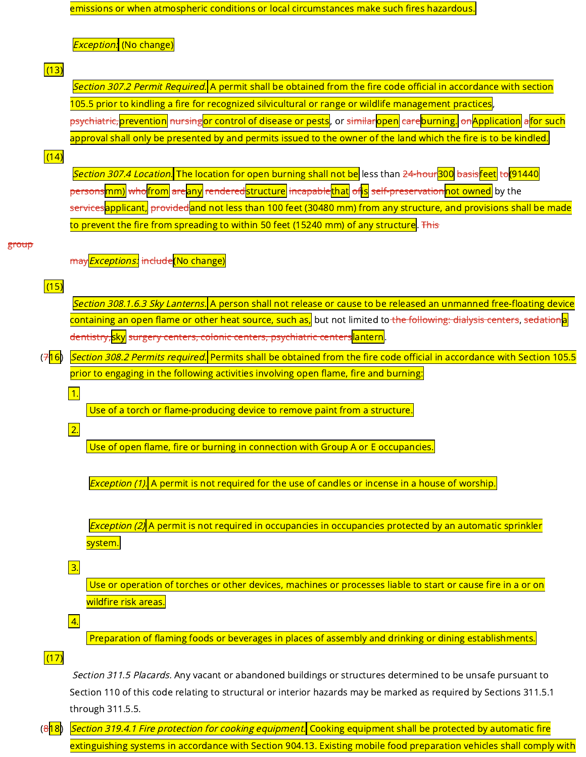emissions or when atmospheric conditions or local circumstances make such fires hazardous.

**Exception.** (No change)

## $(13)$

Section 307.2 Permit Required. A permit shall be obtained from the fire code official in accordance with section 105.5 prior to kindling a fire for recognized silvicultural or range or wildlife management practices, psychiatric, prevention <del>nursing</del>or control of disease or pests, or <del>similar <mark>open</mark> care</del>burning. <del>on</del> Application afor such approval shall only be presented by and permits issued to the owner of the land which the fire is to be kindled.

## $(14)$

Section 307.4 Location. The location for open burning shall not be less than 24-hour300 basisfeet to (91440 persons<mark>mm)</mark> who<mark>from</mark> are<mark>any</mark> rendered<mark>structure</mark> i<del>ncapable<mark>that</mark> of<mark>is</mark> self-preservation</mark>not owned by the</del> services<mark>applicant,</mark> providedand not less than 100 feet (30480 mm) from any structure, and provisions shall be made <mark>to prevent the fire from spreading to within 50 feet (15240 mm) of any structure</mark>. <del>This</del>

#### group

may*Exceptions:* i<del>nclude</del>(No change)

# $(15)$

Section 308.1.6.3 Sky Lanterns. A person shall not release or cause to be released an unmanned free-floating device <mark>containing an open flame or other heat source, such as,</mark> but not limited to <del>the following: dialysis centers</del>, <del>sedation<mark>a</mark>l</del> dentistry, sky surgery centers, colonic centers, psychiatric centers antern.

(7<mark>16</mark>) Section 308.2 Permits required. Permits shall be obtained from the fire code official in accordance with Section 105.5 prior to engaging in the following activities involving open flame, fire and burning:

## 1.

Use of a torch or flame-producing device to remove paint from a structure.

# 2.

Use of open flame, fire or burning in connection with Group A or E occupancies.

 $\mathsf{\mathit{Exception}}$  (1). A permit is not required for the use of candles or incense in a house of worship.

Exception (2) A permit is not required in occupancies in occupancies protected by an automatic sprinkler system.

## 3.

Use or operation of torches or other devices, machines or processes liable to start or cause fire in a or on wildfire risk areas.

## 4.

Preparation of flaming foods or beverages in places of assembly and drinking or dining establishments.

# $(17)$

Section 311.5 Placards. Any vacant or abandoned buildings or structures determined to be unsafe pursuant to Section 110 of this code relating to structural or interior hazards may be marked as required by Sections 311.5.1 through 311.5.5.

 $(8|18)$ Section 319.4.1 Fire protection for cooking equipment. Cooking equipment shall be protected by automatic fire extinguishing systems in accordance with Section 904.13. Existing mobile food preparation vehicles shall comply with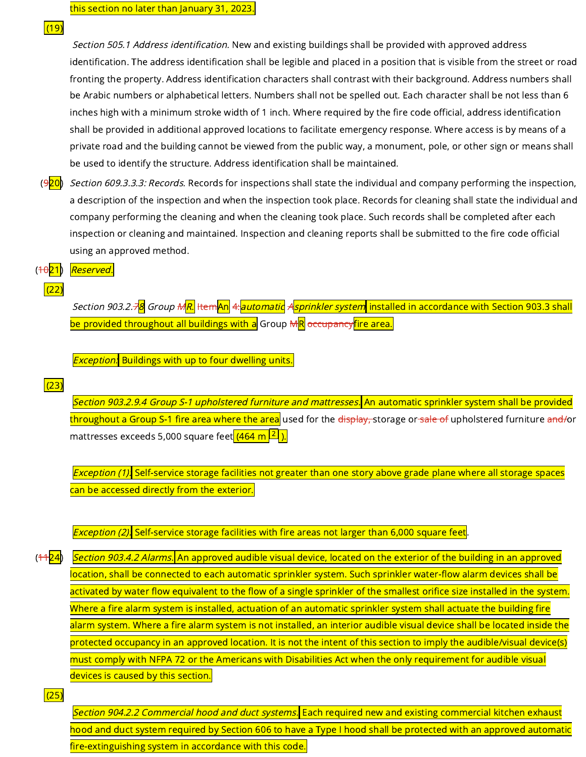$(19)$ 

Section 505.1 Address identification. New and existing buildings shall be provided with approved address identification. The address identification shall be legible and placed in a position that is visible from the street or road fronting the property. Address identification characters shall contrast with their background. Address numbers shall be Arabic numbers or alphabetical letters. Numbers shall not be spelled out. Each character shall be not less than 6 inches high with a minimum stroke width of 1 inch. Where required by the fire code official, address identification shall be provided in additional approved locations to facilitate emergency response. Where access is by means of a private road and the building cannot be viewed from the public way, a monument, pole, or other sign or means shall be used to identify the structure. Address identification shall be maintained.

- (<del>9<mark>20</mark>)</del> *Section 609.3.3.3: Records.* Records for inspections shall state the individual and company performing the inspection, a description of the inspection and when the inspection took place. Records for cleaning shall state the individual and company performing the cleaning and when the cleaning took place. Such records shall be completed after each inspection or cleaning and maintained. Inspection and cleaning reports shall be submitted to the fire code official using an approved method.
- $(1021)$ Reserved.
- $(22)$

Section 903.2.7<mark>8</mark> Group M<mark>R.</mark> Item<mark>An</mark> 4:automatic Asprinkler system</mark> installed in accordance with Section 903.3 shall be provided throughout all buildings with a Group MR <del>occupancy fire area.</del>

 $Exception.$  Buildings with up to four dwelling units.

## $(23)$

Section 903.2.9.4 Group S-1 upholstered furniture and mattresses. An automatic sprinkler system shall be provided <mark>throughout a Group S-1 fire area where the area</mark> used for the <del>display, </del>storage or<del>-sale of</del> upholstered furniture <del>and/</del>or mattresses exceeds 5,000 square feet<mark> (464 m <sup>2</sup> ).</mark>

Exception (1). Self-service storage facilities not greater than one story above grade plane where all storage spaces can be accessed directly from the exterior.

*Exception (2)*: Self-service storage facilities with fire areas not larger than 6,000 square feet.

 $(1124)$ Section 903.4.2 Alarms. An approved audible visual device, located on the exterior of the building in an approved location, shall be connected to each automatic sprinkler system. Such sprinkler water-flow alarm devices shall be activated by water flow equivalent to the flow of a single sprinkler of the smallest orifice size installed in the system. Where a fire alarm system is installed, actuation of an automatic sprinkler system shall actuate the building fire alarm system. Where a fire alarm system is not installed, an interior audible visual device shall be located inside the protected occupancy in an approved location. It is not the intent of this section to imply the audible/visual device(s) must comply with NFPA 72 or the Americans with Disabilities Act when the only requirement for audible visual devices is caused by this section.

 $(25)$ 

Section 904.2.2 Commercial hood and duct systems. Each required new and existing commercial kitchen exhaust hood and duct system required by Section 606 to have a Type I hood shall be protected with an approved automatic fire-extinguishing system in accordance with this code.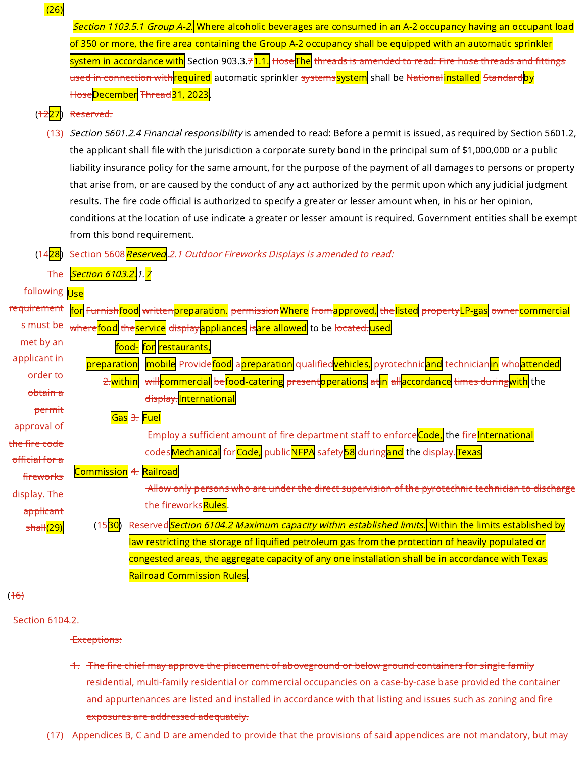| (26)                                 |                                                                                                                                                                                                                           |  |  |  |
|--------------------------------------|---------------------------------------------------------------------------------------------------------------------------------------------------------------------------------------------------------------------------|--|--|--|
|                                      | <i>Section 1103.5.1 Group A-2.</i> Where alcoholic beverages are consumed in an A-2 occupancy having an occupant load                                                                                                     |  |  |  |
|                                      | of 350 or more, the fire area containing the Group A-2 occupancy shall be equipped with an automatic sprinkler                                                                                                            |  |  |  |
|                                      | system in accordance with Section 903.3.7 <mark>1.1.</mark> H <del>ose</del> ∏he threads is amended to read: Fire hose threads and fittings                                                                               |  |  |  |
|                                      | <del>used in connection with<mark>required</mark> automatic sprinkler <del>systems<mark>system</mark> shall be National<mark>installed</mark> Standard<mark>by</mark></del></del>                                         |  |  |  |
|                                      | HoseDecember <del>Thread 31, 2023</del> .                                                                                                                                                                                 |  |  |  |
| ( <del>12</del> 27                   | Reserved.                                                                                                                                                                                                                 |  |  |  |
|                                      | Section 5601.2.4 Financial responsibility is amended to read: Before a permit is issued, as required by Section 5601.2,                                                                                                   |  |  |  |
|                                      | the applicant shall file with the jurisdiction a corporate surety bond in the principal sum of \$1,000,000 or a public                                                                                                    |  |  |  |
|                                      | liability insurance policy for the same amount, for the purpose of the payment of all damages to persons or property                                                                                                      |  |  |  |
|                                      | that arise from, or are caused by the conduct of any act authorized by the permit upon which any judicial judgment                                                                                                        |  |  |  |
|                                      | results. The fire code official is authorized to specify a greater or lesser amount when, in his or her opinion,                                                                                                          |  |  |  |
|                                      | conditions at the location of use indicate a greater or lesser amount is required. Government entities shall be exempt                                                                                                    |  |  |  |
|                                      | from this bond requirement.                                                                                                                                                                                               |  |  |  |
| (1428)                               | Section 5608 Reserved 2.1 Outdoor Fireworks Displays is amended to read:                                                                                                                                                  |  |  |  |
| <b>The</b>                           | Section 6103.2. 1. 7                                                                                                                                                                                                      |  |  |  |
| following Use                        |                                                                                                                                                                                                                           |  |  |  |
| <del>requirement</del>               | <mark>for</mark> Furnish <mark>food</mark> written <mark>preparation.</mark> permission <mark>Where</mark> from <mark>approved,</mark> the <mark>listed</mark> property <mark>LP-gas</mark> owner <mark>commercial</mark> |  |  |  |
| <del>s must be</del>                 | <del>where<mark>food</mark> the service display appliances is are allowed</del> to be <del>located. used</del>                                                                                                            |  |  |  |
| met by an                            | for restaurants,<br>food-                                                                                                                                                                                                 |  |  |  |
| applicant in                         | mobile Provide <mark>food</mark> apreparation <del>qualified<mark>vehicles,</mark> pyrotechnicand</del> technician <mark>in</mark> who <mark>attended</mark><br>preparation                                               |  |  |  |
| <del>order to</del>                  | will commercial be food-catering present operations at in all accordance times during with the<br>2.within                                                                                                                |  |  |  |
| obtain a                             | display. International                                                                                                                                                                                                    |  |  |  |
| <del>permit</del>                    | $\exists$ .                                                                                                                                                                                                               |  |  |  |
| approval of                          | Employ a sufficient amount of fire department staff to enforce <mark>Code,</mark> the f <del>ire</del> lnternational                                                                                                      |  |  |  |
| <del>the fire code</del>             | codes Mechanical for Code, publicNFPA safety 58 during and the display. Texas                                                                                                                                             |  |  |  |
| official for a                       |                                                                                                                                                                                                                           |  |  |  |
| fireworks                            | -Allow only persons who are under the direct supervision of the pyrotechnic technician to discharge                                                                                                                       |  |  |  |
| display. The                         | the fireworksRules.                                                                                                                                                                                                       |  |  |  |
| applicant<br>shall <mark>(29)</mark> | Reserved Section 6104.2 Maximum capacity within established limits. Within the limits established by<br>(1530)                                                                                                            |  |  |  |
|                                      | law restricting the storage of liquified petroleum gas from the protection of heavily populated or                                                                                                                        |  |  |  |
|                                      | congested areas, the aggregate capacity of any one installation shall be in accordance with Texas                                                                                                                         |  |  |  |
|                                      | <b>Railroad Commission Rules</b> .                                                                                                                                                                                        |  |  |  |
|                                      |                                                                                                                                                                                                                           |  |  |  |

 $(16)$ 

**Section 6104.2.** 

Exceptions:

1. The fire chief may approve the placement of aboveground or below ground containers for single family residential, multi-family residential or commercial occupancies on a case-by-case base provided the container and appurtenances are listed and installed in accordance with that listing and issues such as zoning and fire exposures are addressed adequately.

(17) Appendices B, C and D are amended to provide that the provisions of said appendices are not mandatory, but may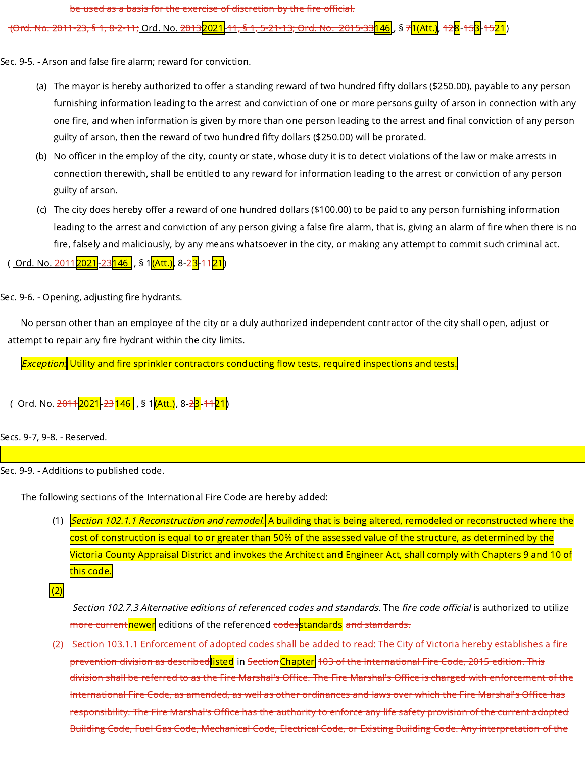be used as a basis for the exercise of discretion by the fire official.

<del>(Ord. No. 2011-23, § 1, 8-2-11;</del> Ord. No. <del>2013<mark>2021</mark>. 11, § 1, 5-21-13; Ord. No. 2015-33<mark>146</mark> , § 7<mark>1(Att.)</mark>, 12<mark>8</mark>-15<mark>3</mark>-15<mark>21</mark>)</del>

Sec. 9-5. - Arson and false fire alarm; reward for conviction.

- (a) The mayor is hereby authorized to offer a standing reward of two hundred fifty dollars (\$250.00), payable to any person furnishing information leading to the arrest and conviction of one or more persons guilty of arson in connection with any one fire, and when information is given by more than one person leading to the arrest and final conviction of any person guilty of arson, then the reward of two hundred fifty dollars (\$250.00) will be prorated.
- (b) No officer in the employ of the city, county or state, whose duty it is to detect violations of the law or make arrests in connection therewith, shall be entitled to any reward for information leading to the arrest or conviction of any person guilty of arson.
- (c) The city does hereby offer a reward of one hundred dollars (\$100.00) to be paid to any person furnishing information leading to the arrest and conviction of any person giving a false fire alarm, that is, giving an alarm of fire when there is no fire, falsely and maliciously, by any means whatsoever in the city, or making any attempt to commit such criminal act.
- ( Ord. No. <del>2011<mark>2021</mark>-23<mark>146</mark> , § 1<mark>(Att.)</mark>, 8-<del>2</del>3-<del>11</del>21</mark>)</del>

Sec. 9-6. - Opening, adjusting fire hydrants.

No person other than an employee of the city or a duly authorized independent contractor of the city shall open, adjust or attempt to repair any fire hydrant within the city limits.

**Exception:** Utility and fire sprinkler contractors conducting flow tests, required inspections and tests.

( <u>Ord. No. <del>2011</del><mark>2021</mark>-23<mark>146</mark> , § 1<mark>(Att.)</mark>, 8-<del>2<mark>3</mark>.41<mark>21</mark>)</del></u>

Secs. 9-7, 9-8. - Reserved.

Sec. 9-9. - Additions to published code.

The following sections of the International Fire Code are hereby added:

(1) <mark>Section 102.1.1 Reconstruction and remodel.</mark> A building that is being altered, remodeled or reconstructed where the cost of construction is equal to or greater than 50% of the assessed value of the structure, as determined by the Victoria County Appraisal District and invokes the Architect and Engineer Act, shall comply with Chapters 9 and 10 of this code.

 $(2)$ 

Section 102.7.3 Alternative editions of referenced codes and standards. The fire code official is authorized to utilize more current newer editions of the referenced codes standards and standards.

(2) Section 103.1.1 Enforcement of adopted codes shall be added to read: The City of Victoria hereby establishes a fire prevention division as described<mark>listed</mark> in <del>Section</del>Chapter 103 of the International Fire Code, 2015 edition. This division shall be referred to as the Fire Marshal's Office. The Fire Marshal's Office is charged with enforcement of the International Fire Code, as amended, as well as other ordinances and laws over which the Fire Marshal's Office has responsibility. The Fire Marshal's Office has the authority to enforce any life safety provision of the current adopted Building Code, Fuel Gas Code, Mechanical Code, Electrical Code, or Existing Building Code. Any interpretation of the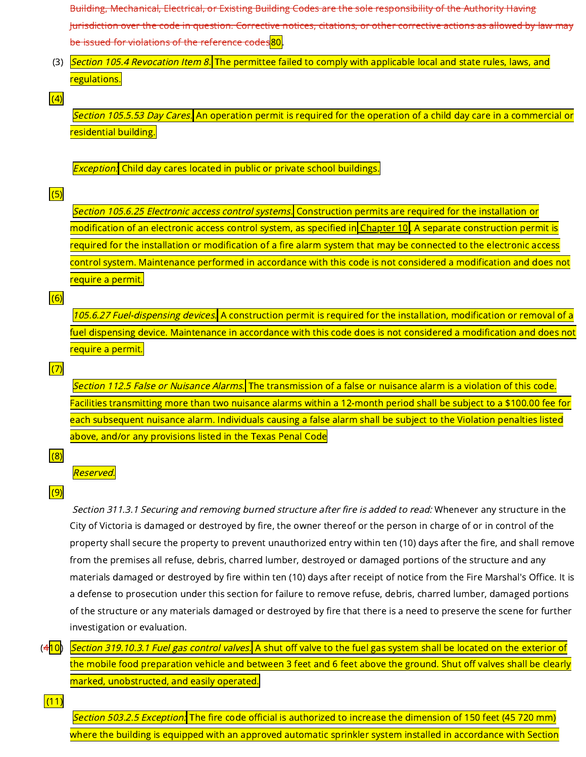Building, Mechanical, Electrical, or Existing Building Codes are the sole responsibility of the Authority Having Jurisdiction over the code in question. Corrective notices, citations, or other corrective actions as allowed by law may be issued for violations of the reference codes<mark>80</mark>.

(3) Section 105.4 Revocation Item 8. The permittee failed to comply with applicable local and state rules, laws, and regulations.

#### $(4)$

Section 105.5.53 Day Cares. An operation permit is required for the operation of a child day care in a commercial or residential building.

 $Exception$ : Child day cares located in public or private school buildings.

## $(5)$

Section 105.6.25 Electronic access control systems. Construction permits are required for the installation or modification of an electronic access control system, as specified in [Chapter](https://library.municode.com/) 10. A separate construction permit is required for the installation or modification of a fire alarm system that may be connected to the electronic access control system. Maintenance performed in accordance with this code is not considered a modification and does not require a permit.

#### $(6)$

105.6.27 Fuel-dispensing devices. A construction permit is required for the installation, modification or removal of a fuel dispensing device. Maintenance in accordance with this code does is not considered a modification and does not require a permit.

## $(7)$

Section 112.5 False or Nuisance Alarms. The transmission of a false or nuisance alarm is a violation of this code. Facilities transmitting more than two nuisance alarms within a 12-month period shall be subject to a \$100.00 fee for each subsequent nuisance alarm. Individuals causing a false alarm shall be subject to the Violation penalties listed above, and/or any provisions listed in the Texas Penal Code

#### $(8)$

Reserved.

#### $(9)$

Section 311.3.1 Securing and removing burned structure after fire is added to read: Whenever any structure in the City of Victoria is damaged or destroyed by fire, the owner thereof or the person in charge of or in control of the property shall secure the property to prevent unauthorized entry within ten (10) days after the fire, and shall remove from the premises all refuse, debris, charred lumber, destroyed or damaged portions of the structure and any materials damaged or destroyed by fire within ten (10) days after receipt of notice from the Fire Marshal's Office. It is a defense to prosecution under this section for failure to remove refuse, debris, charred lumber, damaged portions of the structure or any materials damaged or destroyed by fire that there is a need to preserve the scene for further investigation or evaluation.

 $(4|10)$ Section 319.10.3.1 Fuel gas control valves. A shut off valve to the fuel gas system shall be located on the exterior of the mobile food preparation vehicle and between 3 feet and 6 feet above the ground. Shut off valves shall be clearly marked, unobstructed, and easily operated.

 $(11)$ 

Section 503.2.5 Exception. The fire code official is authorized to increase the dimension of 150 feet (45 720 mm) where the building is equipped with an approved automatic sprinkler system installed in accordance with Section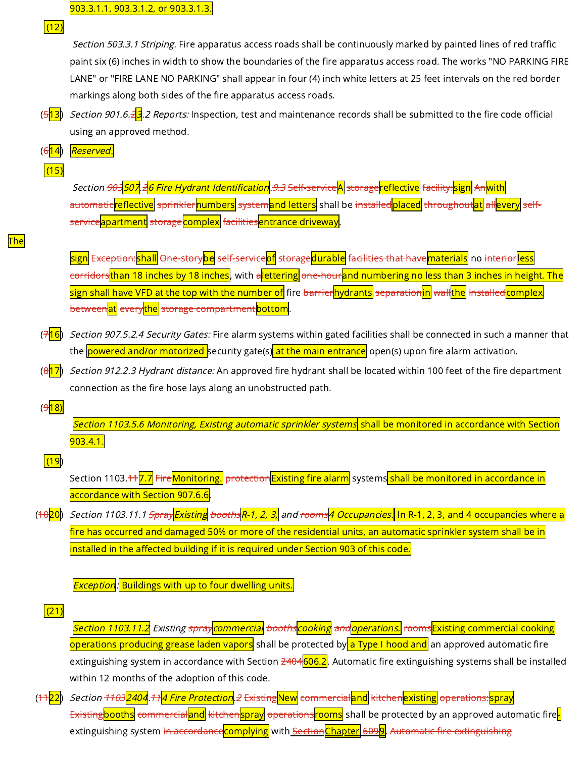$(12)$ 

Section 503.3.1 Striping. Fire apparatus access roads shall be continuously marked by painted lines of red traffic paint six (6) inches in width to show the boundaries of the fire apparatus access road. The works "NO PARKING FIRE LANE" or "FIRE LANE NO PARKING" shall appear in four (4) inch white letters at 25 feet intervals on the red border markings along both sides of the fire apparatus access roads.

- $(5|13)$ *Section 901.6.2<mark>3</mark>.2 Reports:* Inspection, test and maintenance records shall be submitted to the fire code official using an approved method.
- $(6|14)$ Reserved.
- $(15)$

Section <del>903<mark>507</mark>.2<mark>6 Fire Hydrant Identification</mark>.9.3 Self-service<mark>A</mark> storage<mark>reflective</mark> facility:<mark>sign</mark> An<mark>with</mark></del> automatic<mark>reflective</mark> sprinkler<mark>numbers</mark> s<del>ystem<mark>and letters</mark> shall be installed</mark>placed throughout<mark>at</mark> allevery self-</del> serviceapartment storage complex facilities entrance driveway.

The

<mark>sign</mark> E<del>xception:<mark>shall</mark> One-story<mark>be</mark> self-service<mark>of</mark> storage<mark>durable</mark> facilities that have<mark>materials</mark> no <del>interior<mark>less</mark></del></del> corridorsthan 18 inches by 18 inches, with alettering one-hourand numbering no less than 3 inches in height. The sign shall have VFD at the top with the number of fire <del>barrier</del>hydrants <del>separation<mark>in</mark> wall<mark>the</mark> installed</mark>complex</del> between<mark>at</mark> every<mark>the</mark> storage compartment bottom</mark>.

- (<del>7</del><mark>16</mark>) *Section 907.5.2.4 Security Gates:* Fire alarm systems within gated facilities shall be connected in such a manner that the <mark>powered and/or motorized </mark>security gate(s) at the main entrance open(s) upon fire alarm activation.
- $(8|17)$ Section 912.2.3 Hydrant distance: An approved fire hydrant shall be located within 100 feet of the fire department connection as the fire hose lays along an unobstructed path.

 $(9|18)$ 

Section 1103.5.6 Monitoring, Existing automatic sprinkler systems shall be monitored in accordance with Section 903.4.1.

# (19)

Section 1103.<del>11<mark>7.7</mark> Fire<mark>Monitoring.</mark> protection<mark>Existing fire alarm</mark> systems<mark> shall be monitored in accordance in</mark></del> accordance with Section 907.6.6.

 $(10|20)$ Section 1103.11.1 <del>Spray<mark>Existing</mark> booths<mark>R-1, 2, 3,</mark> and rooms<mark>4 Occupancies.</mark> In R-1, 2, 3, and 4 occupancies where a</del> fire has occurred and damaged 50% or more of the residential units, an automatic sprinkler system shall be in installed in the affected building if it is required under Section 903 of this code.

**Exception: Buildings with up to four dwelling units.** 

 $(21)$ 

Section 1103.11.2 Existing spraycommercial boothscooking and operations. roomsExisting commercial cooking operations producing grease laden vapors shall be protected by a Type I hood and an approved automatic fire extinguishing system in accordance with Section 2404606.2. Automatic fire extinguishing systems shall be installed within 12 months of the adoption of this code.

 $(+122)$ Section <del>1103<mark>2404</mark>.11<mark>4 Fire Protection</mark>.2 Existing New commercial and kitchen existing operations: spray</del> Existing booths <del>commercial and kitchenspray operations r</del>ooms shall be protected by an approved automatic fireextinguishing system in accordance complying with Section Chapter 6099. Automatic fire extinguishing